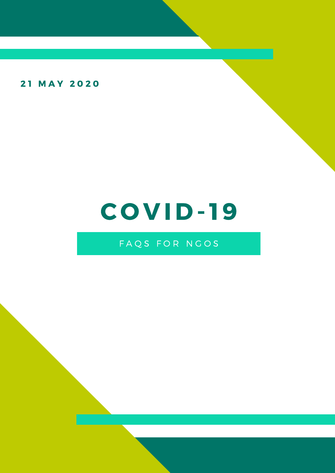21 MAY 2020

# C O V ID- 19

# FAQS FOR NGOS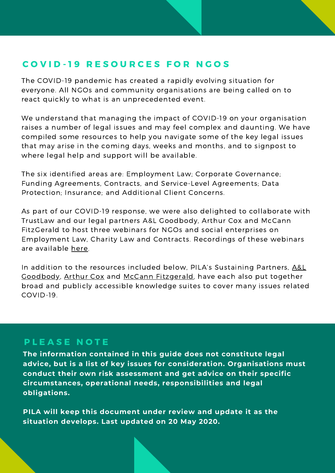# COVID-19 RESOURCES FOR NGOS

The COVID-19 pandemic has created a rapidly evolving situation for everyone. All NGOs and community organisations are being called on to react quickly to what is an unprecedented event.

We understand that managing the impact of COVID-19 on your organisation raises a number of legal issues and may feel complex and daunting. We have compiled some resources to help you navigate some of the key legal issues that may arise in the coming days, weeks and months, and to signpost to where legal help and support will be available.

The six identified areas are: Employment Law; Corporate Governance; Funding Agreements, Contracts, and Service-Level Agreements; Data Protection; Insurance; and Additional Client Concerns.

As part of our COVID-19 response, we were also delighted to collaborate with TrustLaw and our legal partners A&L Goodbody, Arthur Cox and McCann FitzGerald to host three webinars for NGOs and social enterprises on Employment Law, Charity Law and Contracts. Recordings of these webinars are available [here.](https://www.pila.ie/resources/listing/pila-and-trustlaw-webinars-on-employment-law-chari/)

In addition to the resources included below, PILA's Sustaining Partners, A&L [Goodbody,](https://www.algoodbody.com/covid-19-coronavirus-hub) [Arthur](https://www.arthurcox.com/COVID-19/) Cox and McCann [Fitzgerald,](https://www.mccannfitzgerald.com/knowledge/covid-19) have each also put together broad and publicly accessible knowledge suites to cover many issues related COVID-19.

#### PLEASE NOTE

**The information contained in this guide does not constitute legal advice, but is a list of key issues for consideration. Organisations must conduct their own risk assessment and get advice on their specific circumstances, operational needs, responsibilities and legal obligations.**

**PILA will keep this document under review and update it as the situation develops. Last updated on 20 May 2020.**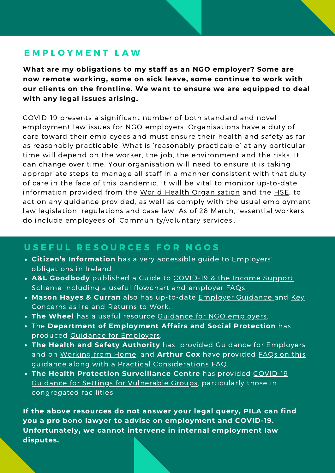## E M P L O Y M E N T L A W

**What are my obligations to my staff as an NGO employer? Some are now remote working, some on sick leave, some continue to work with our clients on the frontline. We want to ensure we are equipped to deal with any legal issues arising.**

COVID-19 presents a significant number of both standard and novel employment law issues for NGO employers. Organisations have a duty of care toward their employees and must ensure their health and safety as far as reasonably practicable. What is 'reasonably practicable' at any particular time will depend on the worker, the job, the environment and the risks. It can change over time. Your organisation will need to ensure it is taking appropriate steps to manage all staff in a manner consistent with that duty of care in the face of this pandemic. It will be vital to monitor up-to-date information provided from the World Health [Organisation](https://www.who.int/emergencies/diseases/novel-coronavirus-2019) and the [HSE,](https://www2.hse.ie/coronavirus/?gclid=Cj0KCQjwmdzzBRC7ARIsANdqRRnP3aubSXFeNo-GM50oV6vamJ3MrBXLdnLGan5SkdcRMKNpjGmHST0aAmn7EALw_wcB) to act on any guidance provided, as well as comply with the usual employment law legislation, regulations and case law. As of 28 March, 'essential workers' do include employees of 'Community/voluntary services'.

### USEFUL RESOURCES FOR NGOS

- **Citizen's [Information](https://www.citizensinformation.ie/en/employment/employment_rights_and_conditions/employment_rights_and_duties/employer_obligations.html)** has a very accessible guide to Employers' obligations in Ireland.
- **A&L Goodbody** published a Guide to [COVID-19](https://www.algoodbody.com/insights-publications/covid-19-and-the-income-support-scheme) & the Income Support Scheme including a useful [flowchart](https://www.algoodbody.com/images/uploads/services/Employment/Overview_Social_Welfare_Payments.pdf) and [employer](https://www.algoodbody.com/insights-publications/covid-19-temporary-wage-subsidy-scheme-faqs-from-employers) FAQs.
- **Mason Hayes & Curran** also has [up-to-date](https://www.mhc.ie/latest/insights/covid-19-key-employment-concerns-as-ireland-prepares-to-return-to-work) Employer [Guidance](https://www.mhc.ie/latest/insights/covid-19-updated-and-continued-guidance-for-concerned-employers) and Key Concerns as Ireland Returns to Work.
- **The Wheel** has a useful resource Guidance for NGO [employers.](https://www.wheel.ie/covid-19/employers)
- The **Department of Employment Affairs and Social Protection** has produced Guidance for [Employers](https://www.gov.ie/en/publication/612b90-covid-19-information-for-employers/).
- **The Health and Safety Authority** has provided Guidance for [Employers](https://www.hsa.ie/eng/topics/covid-19/covid-19_advice_for_employers_and_employees/covid_19_%E2%80%93_advice_for_employers_and_employees.html) and on [Working](https://www.hsa.ie/eng/news_events_media/news/news_and_articles/faq%E2%80%99s_for_employers_and_employees_in_relation_to_home-working_on_a_temporary_basis_covid-19_.html) from Home, and **Arthur Cox** have provided FAQs on this guidance along with a Practical [Considerations](https://www.arthurcox.com/COVID-19/health-and-safety/hsa-advice-on-covid-19-frequently-asked-questions-updated/) FAQ.
- **The Health Protection [Surveillance](https://www.hpsc.ie/a-z/respiratory/coronavirus/novelcoronavirus/guidance/vulnerablegroupsguidance/Guidance%20for%20settings%20for%20vulnerable%20groups%20V2.pdf) Centre** has provided COVID-19 Guidance for Settings for Vulnerable Groups, particularly those in congregated facilities.

**If the above resources do not answer your legal query, PILA can find you a pro bono lawyer to advise on employment and COVID-19. Unfortunately, we cannot intervene in internal employment law disputes.**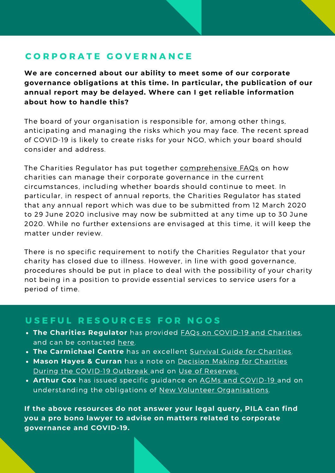# C O R P O R A T E G O V E R N A N C E

**We are concerned about our ability to meet some of our corporate governance obligations at this time. In particular, the publication of our annual report may be delayed. Where can I get reliable information about how to handle this?**

The board of your organisation is responsible for, among other things, anticipating and managing the risks which you may face. The recent spread of COVID-19 is likely to create risks for your NGO, which your board should consider and address.

The Charities Regulator has put together [comprehensive](https://www.charitiesregulator.ie/en/information-for-charities/coronavirus-covid-19-and-charities) FAQs on how charities can manage their corporate governance in the current circumstances, including whether boards should continue to meet. In particular, in respect of annual reports, the Charities Regulator has stated that any annual report which was due to be submitted from 12 March 2020 to 29 June 2020 inclusive may now be submitted at any time up to 30 June 2020. While no further extensions are envisaged at this time, it will keep the matter under review.

There is no specific requirement to notify the Charities Regulator that your charity has closed due to illness. However, in line with good governance, procedures should be put in place to deal with the possibility of your charity not being in a position to provide essential services to service users for a period of time.

### USEFUL RESOURCES FOR NGOS

- **The Charities Regulator** has provided FAQs on [COVID-19](https://www.charitiesregulator.ie/en/information-for-charities/coronavirus-covid-19-and-charities) and Charities, and can be contacted [here.](https://www.charitiesregulator.ie/en/contact-us)
- **The Carmichael Centre** has an excellent Survival Guide for [Charities.](https://www.carmichaelireland.ie/app/uploads/2020/04/Survival-Guide-for-Charities-April-2020.pdf)
- **Mason Hayes & Curran** has a note on Decision Making for Charities During the [COVID-19](https://www.mhc.ie/latest/insights/decision-making-by-charities-during-covid-19-outbreak) Outbreak and on Use of [Reserves.](https://www.mhc.ie/latest/insights/guidance-for-charities-on-reserves-and-use-of-reserves-during-a-crisis)
- **Arthur Cox** has issued specific guidance on AGMs and [COVID-19](https://www.arthurcox.com/knowledge/covid-19-making-contingency-plans-for-agms/) and on understanding the obligations of New Volunteer [Organisations](https://www.arthurcox.com/COVID-19/charities/new-volunteer-organisations-understanding-the-obligations/).

**If the above resources do not answer your legal query, PILA can find you a pro bono lawyer to advise on matters related to corporate governance and COVID-19.**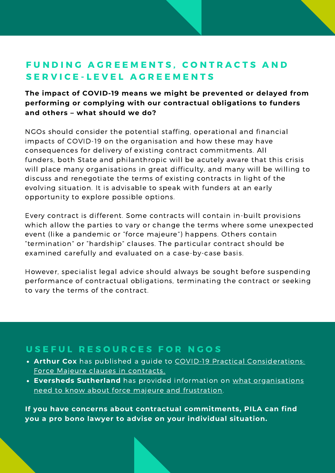# FUNDING AGREEMENTS, CONTRACTS AND SERVICE-LEVEL AGREEMENTS

#### **The impact of COVID-19 means we might be prevented or delayed from performing or complying with our contractual obligations to funders and others – what should we do?**

NGOs should consider the potential staffing, operational and financial impacts of COVID-19 on the organisation and how these may have consequences for delivery of existing contract commitments. All funders, both State and philanthropic will be acutely aware that this crisis will place many organisations in great difficulty, and many will be willing to discuss and renegotiate the terms of existing contracts in light of the evolving situation. It is advisable to speak with funders at an early opportunity to explore possible options.

Every contract is different. Some contracts will contain in-built provisions which allow the parties to vary or change the terms where some unexpected event (like a pandemic or "force majeure") happens. Others contain "termination" or "hardship" clauses. The particular contract should be examined carefully and evaluated on a case-by-case basis.

However, specialist legal advice should always be sought before suspending performance of contractual obligations, terminating the contract or seeking to vary the terms of the contract.

## USEFUL RESOURCES FOR NGOS

- **Arthur Cox** has published a guide to COVID-19 Practical [Considerations:](https://www.arthurcox.com/knowledge/covid-19-practical-considerations-force-majeure-clauses-in-contracts/) Force Majeure clauses in contracts.
- **Eversheds Sutherland** has provided information on what [organisations](https://www.eversheds-sutherland.com/global/en/what/publications/shownews.page?News=en/ireland/coronavirus-what-do-businesses-need-to-know-about-force-majeure-and-frustration-ireland) need to know about force majeure and frustration.

**If you have concerns about contractual commitments, PILA can find you a pro bono lawyer to advise on your individual situation.**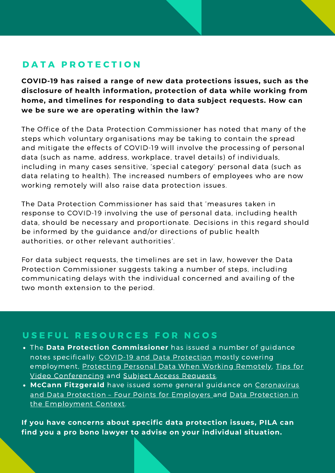# DATA PROTECTION

**COVID-19 has raised a range of new data protections issues, such as the disclosure of health information, protection of data while working from home, and timelines for responding to data subject requests. How can we be sure we are operating within the law?**

The Office of the Data Protection Commissioner has noted that many of the steps which voluntary organisations may be taking to contain the spread and mitigate the effects of COVID-19 will involve the processing of personal data (such as name, address, workplace, travel details) of individuals, including in many cases sensitive, 'special category' personal data (such as data relating to health). The increased numbers of employees who are now working remotely will also raise data protection issues.

The Data Protection Commissioner has said that 'measures taken in response to COVID-19 involving the use of personal data, including health data, should be necessary and proportionate. Decisions in this regard should be informed by the guidance and/or directions of public health authorities, or other relevant authorities'.

For data subject requests, the timelines are set in law, however the Data Protection Commissioner suggests taking a number of steps, including communicating delays with the individual concerned and availing of the two month extension to the period.

### USEFUL RESOURCES FOR NGOS

- The **Data Protection Commissioner** has issued a number of guidance notes specifically: [COVID-19](https://dataprotection.ie/en/news-media/blogs/data-protection-and-covid-19) and Data Protection mostly covering [employment,](https://dataprotection.ie/en/news-media/blogs/data-protection-tips-video-conferencing) Protecting Personal Data When Working [Remotely](https://dataprotection.ie/en/protecting-personal-data-when-working-remotely-0), Tips for Video Conferencing and Subject Access [Requests](https://dataprotection.ie/en/covid-19-and-subject-access-requests).
- **McCann Fitzgerald** have issued some general guidance on [Coronavirus](https://www.mccannfitzgerald.com/knowledge/data-privacy-and-cyber-risk/coronavirus-and-data-protection-four-points-for-employers) and Data Protection - Four Points for Employers and Data Protection in the [Employment](https://www.mccannfitzgerald.com/knowledge/employment/covid-19-data-protection-issues-in-the-employment-context) Context.

**If you have concerns about specific data protection issues, PILA can find you a pro bono lawyer to advise on your individual situation.**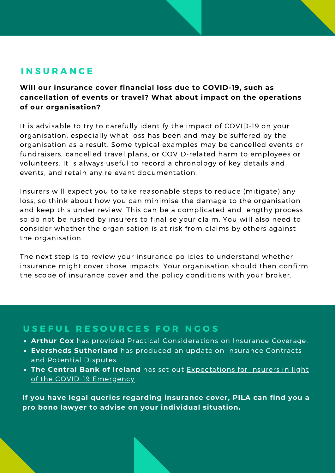## **INSURANCE**

**Will our insurance cover financial loss due to COVID-19, such as cancellation of events or travel? What about impact on the operations of our organisation?**

It is advisable to try to carefully identify the impact of COVID-19 on your organisation, especially what loss has been and may be suffered by the organisation as a result. Some typical examples may be cancelled events or fundraisers, cancelled travel plans, or COVID-related harm to employees or volunteers. It is always useful to record a chronology of key details and events, and retain any relevant documentation.

Insurers will expect you to take reasonable steps to reduce (mitigate) any loss, so think about how you can minimise the damage to the organisation and keep this under review. This can be a complicated and lengthy process so do not be rushed by insurers to finalise your claim. You will also need to consider whether the organisation is at risk from claims by others against the organisation.

The next step is to review your insurance policies to understand whether insurance might cover those impacts. Your organisation should then confirm the scope of insurance cover and the policy conditions with your broker.

## USEFUL RESOURCES FOR NGOS

- **Arthur Cox** has provided Practical [Considerations](https://www.arthurcox.com/knowledge/covid-19-practical-considerations-insurance-coverage/) on Insurance Coverage.
- **Eversheds Sutherland** has produced an update on Insurance Contracts and Potential Disputes.
- **The Central Bank of Ireland** has set out Expectations for Insurers in light of the COVID-19 [Emergency.](https://centralbank.ie/news/article/press-release-dear-ceo-letter-inusrance-covid19-27-march2020)

**If you have legal queries regarding insurance cover, PILA can find you a pro bono lawyer to advise on your individual situation.**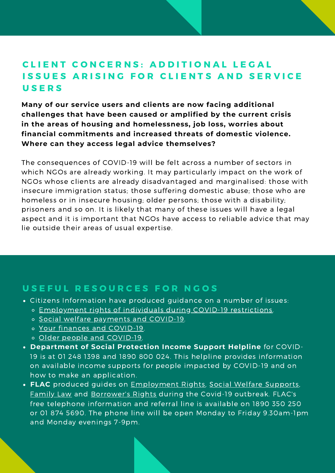# CLIENT CONCERNS: ADDITIONAL LEGAL ISSUES ARISING FOR CLIENTS AND SERVICE **USERS**

**Many of our service users and clients are now facing additional challenges that have been caused or amplified by the current crisis in the areas of housing and homelessness, job loss, worries about financial commitments and increased threats of domestic violence. Where can they access legal advice themselves?**

The consequences of COVID-19 will be felt across a number of sectors in which NGOs are already working. It may particularly impact on the work of NGOs whose clients are already disadvantaged and marginalised: those with insecure immigration status; those suffering domestic abuse; those who are homeless or in insecure housing; older persons; those with a disability; prisoners and so on. It is likely that many of these issues will have a legal aspect and it is important that NGOs have access to reliable advice that may lie outside their areas of usual expertise.

### USEFUL RESOURCES FOR NGOS

- Citizens Information have produced guidance on a number of issues:
	- o Employment rights of individuals during COVID-19 [restrictions.](https://www.citizensinformation.ie/en/employment/employment_rights_during_covid19_restrictions.html)
	- o Social welfare payments and [COVID-19.](https://www.citizensinformation.ie/en/social_welfare/covid19_and_social_welfare.html)
	- Your finances and [COVID-19.](https://www.citizensinformation.ie/en/health/covid19/your_finances_and_covid19.html)
	- o Older people and [COVID-19](https://www.citizensinformation.ie/en/health/covid19/covid19_and_older_people.html).
- **Department of Social Protection Income Support Helpline** for COVID-19 is at 01 248 1398 and 1890 800 024. This helpline provides information on available income supports for people impacted by COVID-19 and on how to make an application.
- **FLAC** produced guides on [Employment](https://www.flac.ie/publications/flacsheet-employment-law-rights-during-covid19-out/) Rights, Social Welfare [Supports,](https://www.flac.ie/publications/flacsheet-social-welfare-supports-during-covid19-o/) [Family](https://www.flac.ie/publications/flacsheet-family-law-queries-during-covid19-outbre/) Law and [Borrower's](https://www.flac.ie/publications/flacsheet-borrowers-rights-during-covid19-outbreak/) Rights during the Covid-19 outbreak. FLAC's free telephone information and referral line is available on 1890 350 250 or 01 874 5690. The phone line will be open Monday to Friday 9.30am-1pm and Monday evenings 7-9pm.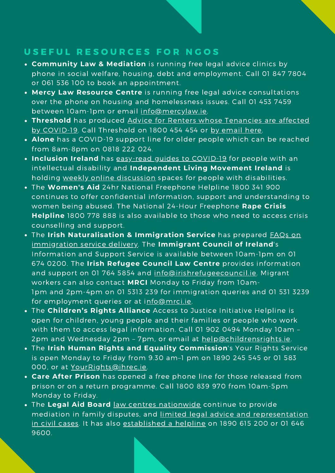## USEFUL RESOURCES FOR NGOS

- **Community Law & Mediation** is running free legal advice clinics by phone in social welfare, housing, debt and employment. Call 01 847 7804 or 061 536 100 to book an appointment.
- **Mercy Law Resource Centre** is running free legal advice consultations over the phone on housing and homelessness issues. Call 01 453 7459 between 10am-1pm or email [info@mercylaw.ie](http://mercylaw.ie/).
- **Threshold** has produced Advice for Renters whose Tenancies are affected by [COVID-19.](https://www.threshold.ie/covid-19/) Call Threshold on 1800 454 454 or by [email](https://www.threshold.ie/advice/help.html) here.
- **Alone** has a COVID-19 support line for older people which can be reached from 8am-8pm on 0818 222 024.
- **Inclusion Ireland** has [easy-read](http://www.inclusionireland.ie/content/page/corona-virus) guides to COVID-19 for people with an intellectual disability and **Independent Living Movement Ireland** is holding weekly online [discussion](https://mailchi.mp/9650e949239d/ilmi-supporting-each-other-through-covid-19?e=%5BUNIQID%5D&fbclid=IwAR2lMYKLL23s8u9RIsSspVI0k5dmBnDCdKvzFeJ8LhyKbneR3Soh67dhvwg) spaces for people with disabilities.
- The **Women's Aid** 24hr National Freephone Helpline 1800 341 900 continues to offer confidential information, support and understanding to women being abused. The National 24-Hour Freephone **Rape Crisis Helpline** 1800 778 888 is also available to those who need to access crisis counselling and support.
- The **Irish [Naturalisation](http://www.inis.gov.ie/en/INIS/Pages/COVID-19-updates-and-announcements) & Immigration Service** has prepared FAQs on immigration service delivery. The **Immigrant Council of Ireland**'s Information and Support Service is available between 10am-1pm on 01 674 0200. The **Irish Refugee Council Law Centre** provides information and support on 01 764 5854 and [info@irishrefugeecouncil.ie](http://irishrefugeecouncil.ie/). Migrant workers can also contact **MRCI** Monday to Friday from 10am-1pm and 2pm-4pm on 01 5313 239 for immigration queries and 01 531 3239 for employment queries or at i[nfo@mrci.ie](http://mrci.ie/).
- The **Children's Rights Alliance** Access to Justice Initiative Helpline is open for children, young people and their families or people who work with them to access legal information. Call 01 902 0494 Monday 10am – 2pm and Wednesday 2pm - 7pm, or email at [help@childrensrights.ie.](http://childrensrights.ie/)
- The **Irish Human Rights and Equality Commission**'s Your Rights Service is open Monday to Friday from 9.30 am–1 pm on 1890 245 545 or 01 583 000, or at [YourRights@ihrec.ie.](http://ihrec.ie/)
- **Care After Prison** has opened a free phone line for those released from prison or on a return programme. Call 1800 839 970 from 10am-5pm Monday to Friday.
- The **Legal Aid Board** law centres [nationwide](https://www.legalaidboard.ie/en/contact-us/find-a-law-centre/) continue to provide mediation in family disputes, and limited legal advice and [representation](https://www.citizensinformation.ie/en/justice/legal_aid_and_advice/civil_legal_advice_and_legal_aid.html) in civil cases. It has also [established](https://www.legalaidboard.ie/en/about-the-board/coronavirus-covid-19/legal-mediation-information-helpline.html) a helpline on 1890 615 200 or 01 646 9600.